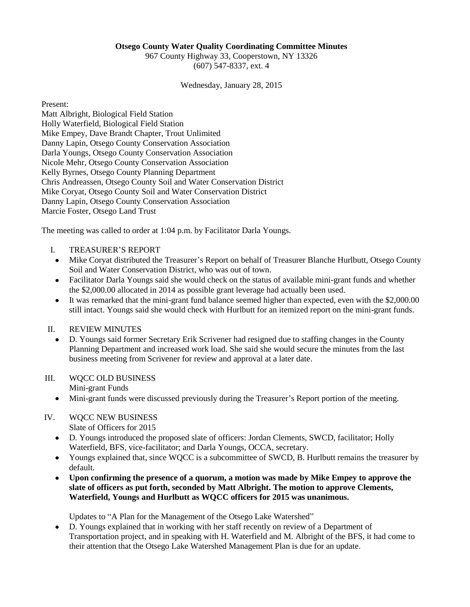#### **Otsego County Water Quality Coordinating Committee Minutes**

967 County Highway 33, Cooperstown, NY 13326 (607) 547-8337, ext. 4

Wednesday, January 28, 2015

Present:

Matt Albright, Biological Field Station Holly Waterfield, Biological Field Station Mike Empey, Dave Brandt Chapter, Trout Unlimited Danny Lapin, Otsego County Conservation Association Darla Youngs, Otsego County Conservation Association Nicole Mehr, Otsego County Conservation Association Kelly Byrnes, Otsego County Planning Department Chris Andreassen, Otsego County Soil and Water Conservation District Mike Coryat, Otsego County Soil and Water Conservation District Danny Lapin, Otsego County Conservation Association Marcie Foster, Otsego Land Trust

The meeting was called to order at 1:04 p.m. by Facilitator Darla Youngs.

- I. TREASURER'S REPORT
	- Mike Coryat distributed the Treasurer's Report on behalf of Treasurer Blanche Hurlbutt, Otsego County Soil and Water Conservation District, who was out of town.
	- Facilitator Darla Youngs said she would check on the status of available mini-grant funds and whether the \$2,000.00 allocated in 2014 as possible grant leverage had actually been used.
	- It was remarked that the mini-grant fund balance seemed higher than expected, even with the \$2,000.00  $\bullet$ still intact. Youngs said she would check with Hurlbutt for an itemized report on the mini-grant funds.

#### II. REVIEW MINUTES

D. Youngs said former Secretary Erik Scrivener had resigned due to staffing changes in the County Planning Department and increased work load. She said she would secure the minutes from the last business meeting from Scrivener for review and approval at a later date.

#### III. WQCC OLD BUSINESS

Mini-grant Funds

 $\bullet$ Mini-grant funds were discussed previously during the Treasurer's Report portion of the meeting.

## IV. WQCC NEW BUSINESS

- Slate of Officers for 2015
- D. Youngs introduced the proposed slate of officers: Jordan Clements, SWCD, facilitator; Holly Waterfield, BFS, vice-facilitator; and Darla Youngs, OCCA, secretary.
- Youngs explained that, since WQCC is a subcommittee of SWCD, B. Hurlbutt remains the treasurer by default.
- **Upon confirming the presence of a quorum, a motion was made by Mike Empey to approve the**   $\bullet$ **slate of officers as put forth, seconded by Matt Albright. The motion to approve Clements, Waterfield, Youngs and Hurlbutt as WQCC officers for 2015 was unanimous.**

Updates to "A Plan for the Management of the Otsego Lake Watershed"

D. Youngs explained that in working with her staff recently on review of a Department of Transportation project, and in speaking with H. Waterfield and M. Albright of the BFS, it had come to their attention that the Otsego Lake Watershed Management Plan is due for an update.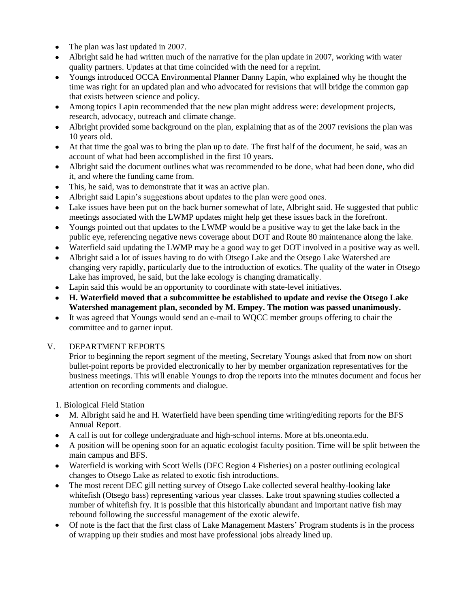- The plan was last updated in 2007.  $\bullet$
- Albright said he had written much of the narrative for the plan update in 2007, working with water quality partners. Updates at that time coincided with the need for a reprint.
- Youngs introduced OCCA Environmental Planner Danny Lapin, who explained why he thought the  $\bullet$ time was right for an updated plan and who advocated for revisions that will bridge the common gap that exists between science and policy.
- Among topics Lapin recommended that the new plan might address were: development projects,  $\bullet$ research, advocacy, outreach and climate change.
- Albright provided some background on the plan, explaining that as of the 2007 revisions the plan was  $\bullet$ 10 years old.
- At that time the goal was to bring the plan up to date. The first half of the document, he said, was an  $\bullet$ account of what had been accomplished in the first 10 years.
- Albright said the document outlines what was recommended to be done, what had been done, who did it, and where the funding came from.
- This, he said, was to demonstrate that it was an active plan.  $\bullet$
- Albright said Lapin's suggestions about updates to the plan were good ones.
- Lake issues have been put on the back burner somewhat of late, Albright said. He suggested that public  $\bullet$ meetings associated with the LWMP updates might help get these issues back in the forefront.
- Youngs pointed out that updates to the LWMP would be a positive way to get the lake back in the public eye, referencing negative news coverage about DOT and Route 80 maintenance along the lake.
- Waterfield said updating the LWMP may be a good way to get DOT involved in a positive way as well.  $\bullet$
- Albright said a lot of issues having to do with Otsego Lake and the Otsego Lake Watershed are changing very rapidly, particularly due to the introduction of exotics. The quality of the water in Otsego Lake has improved, he said, but the lake ecology is changing dramatically.
- Lapin said this would be an opportunity to coordinate with state-level initiatives.
- **H. Waterfield moved that a subcommittee be established to update and revise the Otsego Lake Watershed management plan, seconded by M. Empey. The motion was passed unanimously.**
- It was agreed that Youngs would send an e-mail to WQCC member groups offering to chair the committee and to garner input.

## V. DEPARTMENT REPORTS

Prior to beginning the report segment of the meeting, Secretary Youngs asked that from now on short bullet-point reports be provided electronically to her by member organization representatives for the business meetings. This will enable Youngs to drop the reports into the minutes document and focus her attention on recording comments and dialogue.

1. Biological Field Station

- M. Albright said he and H. Waterfield have been spending time writing/editing reports for the BFS  $\bullet$ Annual Report.
- A call is out for college undergraduate and high-school interns. More at bfs.oneonta.edu.
- A position will be opening soon for an aquatic ecologist faculty position. Time will be split between the main campus and BFS.
- Waterfield is working with Scott Wells (DEC Region 4 Fisheries) on a poster outlining ecological changes to Otsego Lake as related to exotic fish introductions.
- The most recent DEC gill netting survey of Otsego Lake collected several healthy-looking lake whitefish (Otsego bass) representing various year classes. Lake trout spawning studies collected a number of whitefish fry. It is possible that this historically abundant and important native fish may rebound following the successful management of the exotic alewife.
- Of note is the fact that the first class of Lake Management Masters' Program students is in the process of wrapping up their studies and most have professional jobs already lined up.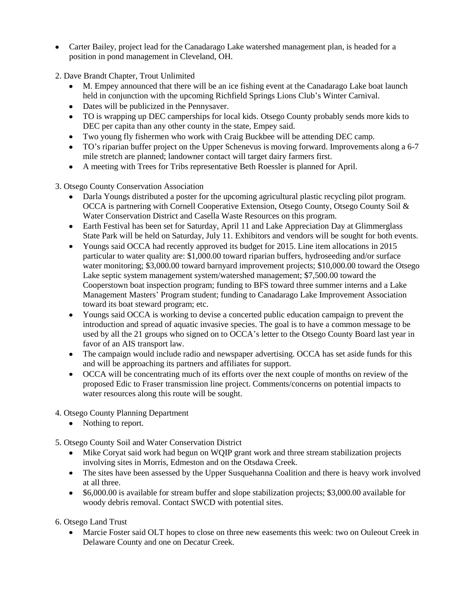- Carter Bailey, project lead for the Canadarago Lake watershed management plan, is headed for a position in pond management in Cleveland, OH.
- 2. Dave Brandt Chapter, Trout Unlimited
	- M. Empey announced that there will be an ice fishing event at the Canadarago Lake boat launch held in conjunction with the upcoming Richfield Springs Lions Club's Winter Carnival.
	- Dates will be publicized in the Pennysaver.
	- TO is wrapping up DEC camperships for local kids. Otsego County probably sends more kids to DEC per capita than any other county in the state, Empey said.
	- Two young fly fishermen who work with Craig Buckbee will be attending DEC camp.
	- TO's riparian buffer project on the Upper Schenevus is moving forward. Improvements along a 6-7 mile stretch are planned; landowner contact will target dairy farmers first.
	- A meeting with Trees for Tribs representative Beth Roessler is planned for April.  $\bullet$
- 3. Otsego County Conservation Association
	- Darla Youngs distributed a poster for the upcoming agricultural plastic recycling pilot program. OCCA is partnering with Cornell Cooperative Extension, Otsego County, Otsego County Soil & Water Conservation District and Casella Waste Resources on this program.
	- Earth Festival has been set for Saturday, April 11 and Lake Appreciation Day at Glimmerglass State Park will be held on Saturday, July 11. Exhibitors and vendors will be sought for both events.
	- Youngs said OCCA had recently approved its budget for 2015. Line item allocations in 2015 particular to water quality are: \$1,000.00 toward riparian buffers, hydroseeding and/or surface water monitoring; \$3,000.00 toward barnyard improvement projects; \$10,000.00 toward the Otsego Lake septic system management system/watershed management; \$7,500.00 toward the Cooperstown boat inspection program; funding to BFS toward three summer interns and a Lake Management Masters' Program student; funding to Canadarago Lake Improvement Association toward its boat steward program; etc.
	- Youngs said OCCA is working to devise a concerted public education campaign to prevent the  $\bullet$ introduction and spread of aquatic invasive species. The goal is to have a common message to be used by all the 21 groups who signed on to OCCA's letter to the Otsego County Board last year in favor of an AIS transport law.
	- The campaign would include radio and newspaper advertising. OCCA has set aside funds for this  $\bullet$ and will be approaching its partners and affiliates for support.
	- OCCA will be concentrating much of its efforts over the next couple of months on review of the proposed Edic to Fraser transmission line project. Comments/concerns on potential impacts to water resources along this route will be sought.
- 4. Otsego County Planning Department
	- Nothing to report.  $\bullet$
- 5. Otsego County Soil and Water Conservation District
	- Mike Coryat said work had begun on WQIP grant work and three stream stabilization projects involving sites in Morris, Edmeston and on the Otsdawa Creek.
	- The sites have been assessed by the Upper Susquehanna Coalition and there is heavy work involved at all three.
	- \$6,000.00 is available for stream buffer and slope stabilization projects; \$3,000.00 available for  $\bullet$ woody debris removal. Contact SWCD with potential sites.
- 6. Otsego Land Trust
	- Marcie Foster said OLT hopes to close on three new easements this week: two on Ouleout Creek in Delaware County and one on Decatur Creek.